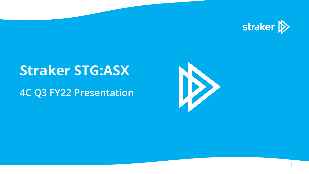# **Straker STG:ASX 4C Q3 FY22 Presentation**

**TIME** 







**1**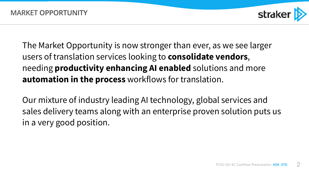



The Market Opportunity is now stronger than ever, as we see larger users of translation services looking to **consolidate vendors**, needing **productivity enhancing AI enabled** solutions and more **automation in the process** workflows for translation.

Our mixture of industry leading AI technology, global services and sales delivery teams along with an enterprise proven solution puts us in a very good position.

## straker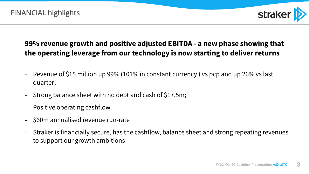



### **99% revenue growth and positive adjusted EBITDA - a new phase showing that the operating leverage from our technology is now starting to deliver returns**

- Revenue of \$15 million up 99% (101% in constant currency ) vs pcp and up 26% vs last

- quarter;
- Strong balance sheet with no debt and cash of \$17.5m;
- Positive operating cashflow
- \$60m annualised revenue run-rate
- to support our growth ambitions

## straker D

- Straker is financially secure, has the cashflow, balance sheet and strong repeating revenues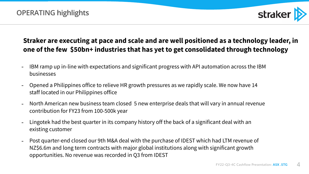#### **Straker are executing at pace and scale and are well positioned as a technology leader, in one of the few \$50bn+ industries that has yet to get consolidated through technology**

- IBM ramp up in-line with expectations and significant progress with API automation across the IBM businesses
- Opened a Philippines office to relieve HR growth pressures as we rapidly scale. We now have 14 staff located in our Philippines office
- North American new business team closed 5 new enterprise deals that will vary in annual revenue contribution for FY23 from 100-500k year
- Lingotek had the best quarter in its company history off the back of a significant deal with an existing customer
- Post quarter-end closed our 9th M&A deal with the purchase of IDEST which had LTM revenue of NZ\$6.6m and long term contracts with major global institutions along with significant growth opportunities. No revenue was recorded in Q3 from IDEST

## straker D





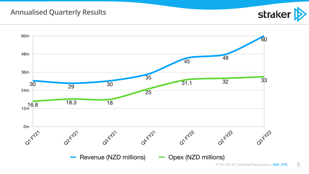#### **Annualised Quarterly Results**



## straker |



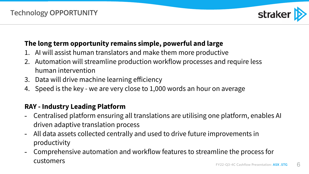

#### **Technology OPPORTUNITY**



### **The long term opportunity remains simple, powerful and large**

- 1. AI will assist human translators and make them more productive
- 2. Automation will streamline production workflow processes and require less human intervention
- 3. Data will drive machine learning efficiency
- 4. Speed is the key we are very close to 1,000 words an hour on average

#### **RAY - Industry Leading Platform**

- Centralised platform ensuring all translations are utilising one platform, enables AI

- All data assets collected centrally and used to drive future improvements in

- driven adaptive translation process
- productivity
- customers

## straker

- Comprehensive automation and workflow features to streamline the process for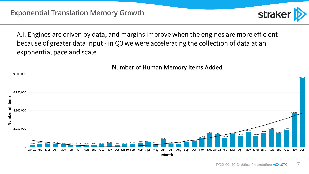FY22-Q3-4C Cashflow Presentation: **ASX .STG**



**Exponential Translation Memory Growth** 

7

A.I. Engines are driven by data, and margins improve when the engines are more efficient because of greater data input - in Q3 we were accelerating the collection of data at an exponential pace and scale



## straker

Number of Human Memory Items Added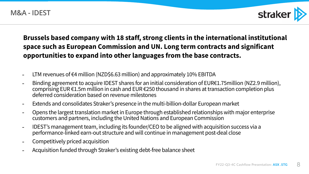



- LTM revenues of €4 million (NZD\$6.63 million) and approximately 10% EBITDA
- Binding agreement to acquire IDEST shares for an initial consideration of EUR€1.75million (NZ2.9 million), comprising EUR €1.5m million in cash and EUR €250 thousand in shares at transaction completion plus deferred consideration based on revenue milestones
- Extends and consolidates Straker's presence in the multi-billion-dollar European market
- Opens the largest translation market in Europe through established relationships with major enterprise customers and partners, including the United Nations and European Commission
- IDEST's management team, including its founder/CEO to be aligned with acquisition success via a performance-linked earn-out structure and will continue in management post-deal close
- Competitively priced acquisition
- Acquisition funded through Straker's existing debt-free balance sheet

## straker

#### **Brussels based company with 18 staff, strong clients in the international institutional space such as European Commission and UN. Long term contracts and significant opportunities to expand into other languages from the base contracts.**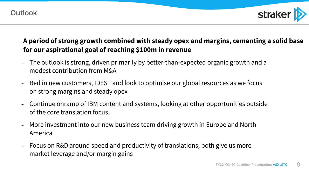



#### **Outlook**



#### **A period of strong growth combined with steady opex and margins, cementing a solid base for our aspirational goal of reaching \$100m in revenue**

- The outlook is strong, driven primarily by better-than-expected organic growth and a modest contribution from M&A
- Bed in new customers, IDEST and look to optimise our global resources as we focus on strong margins and steady opex
- Continue onramp of IBM content and systems, looking at other opportunities outside of the core translation focus.
- More investment into our new business team driving growth in Europe and North America
- Focus on R&D around speed and productivity of translations; both give us more market leverage and/or margin gains

## straker |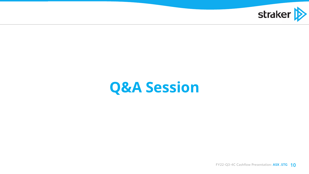

## straker **ID**

FY22-Q3-4C Cashflow Presentation: **ASX .STG 10**